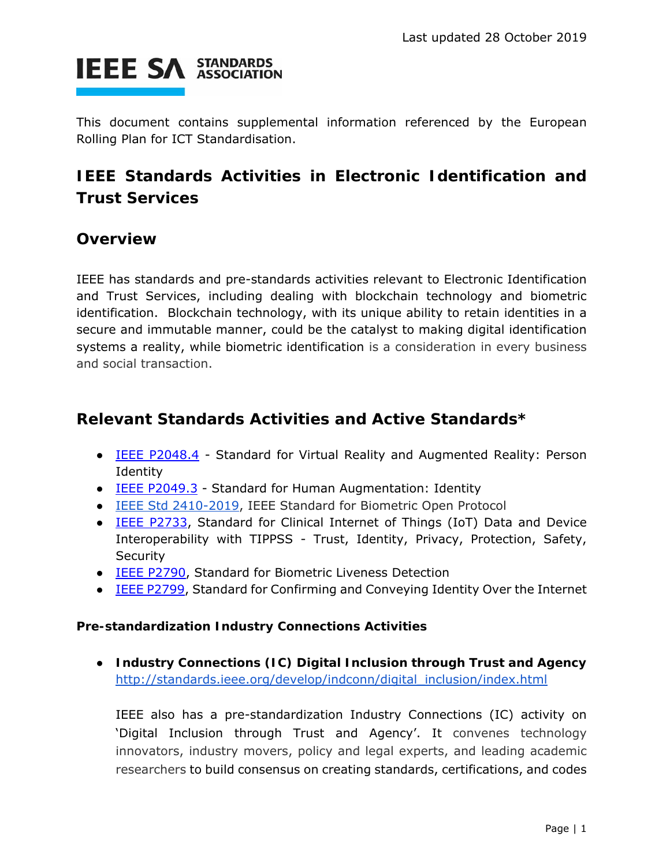

This document contains supplemental information referenced by the European Rolling Plan for ICT Standardisation.

## **IEEE Standards Activities in Electronic Identification and Trust Services**

## **Overview**

IEEE has standards and pre-standards activities relevant to Electronic Identification and Trust Services, including dealing with blockchain technology and biometric identification. Blockchain technology, with its unique ability to retain identities in a secure and immutable manner, could be the catalyst to making digital identification systems a reality, while biometric identification is a consideration in every business and social transaction.

## **Relevant Standards Activities and Active Standards\***

- **IEEE P2048.4** Standard for Virtual Reality and Augmented Reality: Person Identity
- IEEE P2049.3 Standard for Human Augmentation: Identity
- IEEE Std 2410-2019, IEEE Standard for Biometric Open Protocol
- **IEEE P2733**, Standard for Clinical Internet of Things (IoT) Data and Device Interoperability with TIPPSS - Trust, Identity, Privacy, Protection, Safety, **Security**
- IEEE P2790, Standard for Biometric Liveness Detection
- **IEEE P2799, Standard for Confirming and Conveying Identity Over the Internet**

## **Pre-standardization Industry Connections Activities**

● **Industry Connections (IC) Digital Inclusion through Trust and Agency**  http://standards.ieee.org/develop/indconn/digital\_inclusion/index.html

IEEE also has a pre-standardization Industry Connections (IC) activity on 'Digital Inclusion through Trust and Agency'. It convenes technology innovators, industry movers, policy and legal experts, and leading academic researchers to build consensus on creating standards, certifications, and codes